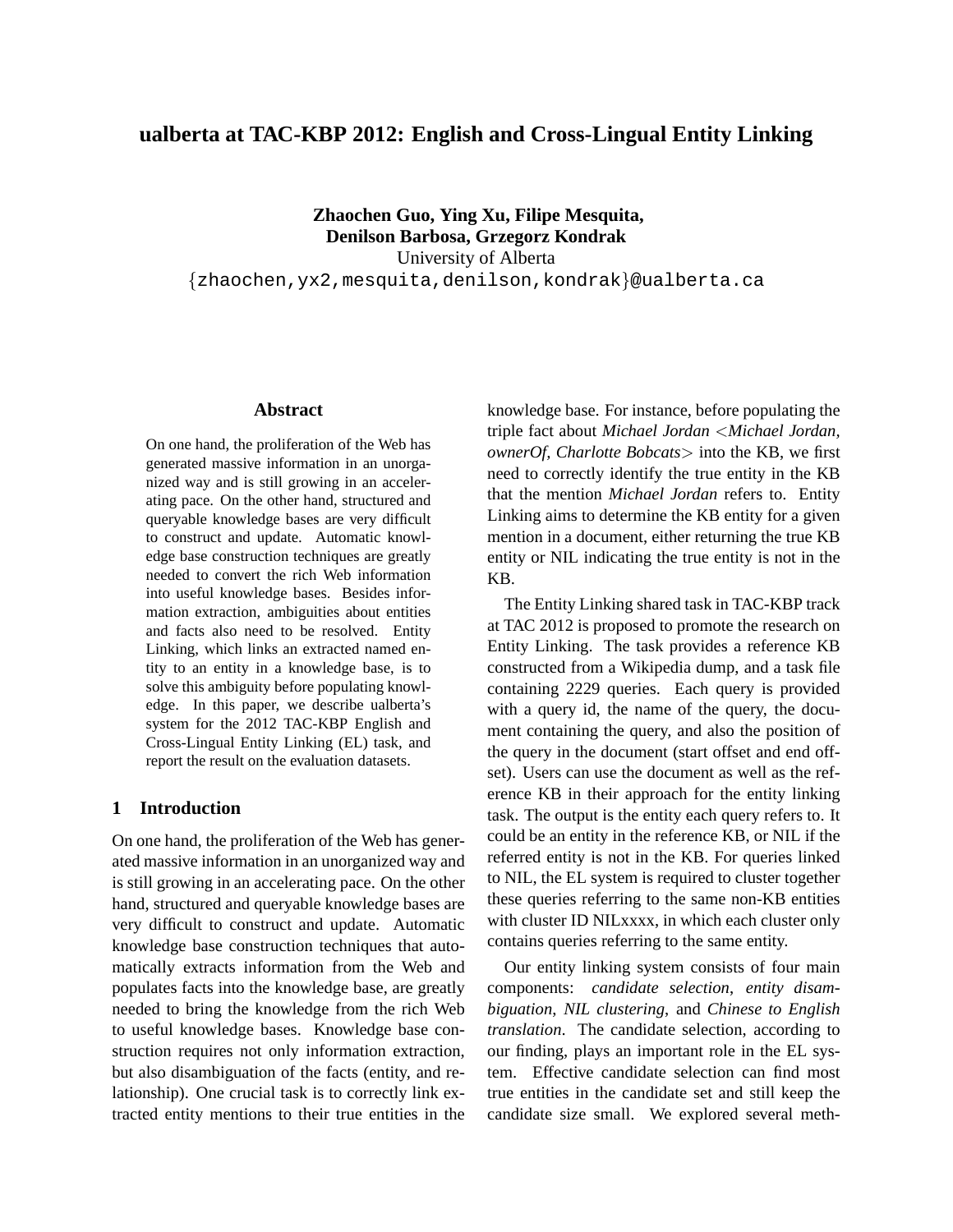# **ualberta at TAC-KBP 2012: English and Cross-Lingual Entity Linking**

**Zhaochen Guo, Ying Xu, Filipe Mesquita, Denilson Barbosa, Grzegorz Kondrak** University of Alberta {zhaochen,yx2,mesquita,denilson,kondrak}@ualberta.ca

### **Abstract**

On one hand, the proliferation of the Web has generated massive information in an unorganized way and is still growing in an accelerating pace. On the other hand, structured and queryable knowledge bases are very difficult to construct and update. Automatic knowledge base construction techniques are greatly needed to convert the rich Web information into useful knowledge bases. Besides information extraction, ambiguities about entities and facts also need to be resolved. Entity Linking, which links an extracted named entity to an entity in a knowledge base, is to solve this ambiguity before populating knowledge. In this paper, we describe ualberta's system for the 2012 TAC-KBP English and Cross-Lingual Entity Linking (EL) task, and report the result on the evaluation datasets.

# **1 Introduction**

On one hand, the proliferation of the Web has generated massive information in an unorganized way and is still growing in an accelerating pace. On the other hand, structured and queryable knowledge bases are very difficult to construct and update. Automatic knowledge base construction techniques that automatically extracts information from the Web and populates facts into the knowledge base, are greatly needed to bring the knowledge from the rich Web to useful knowledge bases. Knowledge base construction requires not only information extraction, but also disambiguation of the facts (entity, and relationship). One crucial task is to correctly link extracted entity mentions to their true entities in the

knowledge base. For instance, before populating the triple fact about *Michael Jordan* <*Michael Jordan, ownerOf, Charlotte Bobcats*> into the KB, we first need to correctly identify the true entity in the KB that the mention *Michael Jordan* refers to. Entity Linking aims to determine the KB entity for a given mention in a document, either returning the true KB entity or NIL indicating the true entity is not in the KB.

The Entity Linking shared task in TAC-KBP track at TAC 2012 is proposed to promote the research on Entity Linking. The task provides a reference KB constructed from a Wikipedia dump, and a task file containing 2229 queries. Each query is provided with a query id, the name of the query, the document containing the query, and also the position of the query in the document (start offset and end offset). Users can use the document as well as the reference KB in their approach for the entity linking task. The output is the entity each query refers to. It could be an entity in the reference KB, or NIL if the referred entity is not in the KB. For queries linked to NIL, the EL system is required to cluster together these queries referring to the same non-KB entities with cluster ID NILxxxx, in which each cluster only contains queries referring to the same entity.

Our entity linking system consists of four main components: *candidate selection*, *entity disambiguation*, *NIL clustering*, and *Chinese to English translation*. The candidate selection, according to our finding, plays an important role in the EL system. Effective candidate selection can find most true entities in the candidate set and still keep the candidate size small. We explored several meth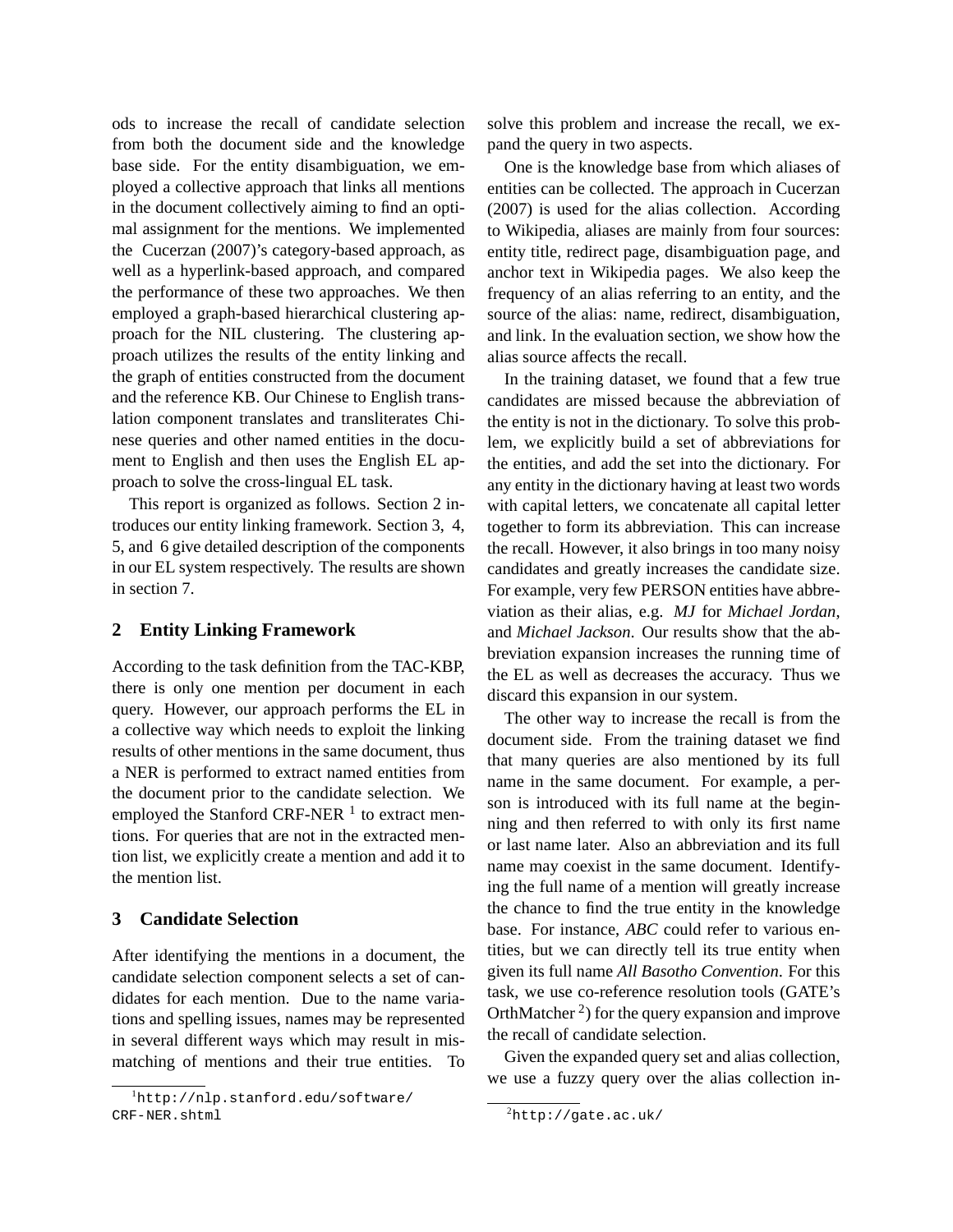ods to increase the recall of candidate selection from both the document side and the knowledge base side. For the entity disambiguation, we employed a collective approach that links all mentions in the document collectively aiming to find an optimal assignment for the mentions. We implemented the Cucerzan (2007)'s category-based approach, as well as a hyperlink-based approach, and compared the performance of these two approaches. We then employed a graph-based hierarchical clustering approach for the NIL clustering. The clustering approach utilizes the results of the entity linking and the graph of entities constructed from the document and the reference KB. Our Chinese to English translation component translates and transliterates Chinese queries and other named entities in the document to English and then uses the English EL approach to solve the cross-lingual EL task.

This report is organized as follows. Section 2 introduces our entity linking framework. Section 3, 4, 5, and 6 give detailed description of the components in our EL system respectively. The results are shown in section 7.

## **2 Entity Linking Framework**

According to the task definition from the TAC-KBP, there is only one mention per document in each query. However, our approach performs the EL in a collective way which needs to exploit the linking results of other mentions in the same document, thus a NER is performed to extract named entities from the document prior to the candidate selection. We employed the Stanford CRF-NER  $<sup>1</sup>$  to extract men-</sup> tions. For queries that are not in the extracted mention list, we explicitly create a mention and add it to the mention list.

### **3 Candidate Selection**

After identifying the mentions in a document, the candidate selection component selects a set of candidates for each mention. Due to the name variations and spelling issues, names may be represented in several different ways which may result in mismatching of mentions and their true entities. To solve this problem and increase the recall, we expand the query in two aspects.

One is the knowledge base from which aliases of entities can be collected. The approach in Cucerzan (2007) is used for the alias collection. According to Wikipedia, aliases are mainly from four sources: entity title, redirect page, disambiguation page, and anchor text in Wikipedia pages. We also keep the frequency of an alias referring to an entity, and the source of the alias: name, redirect, disambiguation, and link. In the evaluation section, we show how the alias source affects the recall.

In the training dataset, we found that a few true candidates are missed because the abbreviation of the entity is not in the dictionary. To solve this problem, we explicitly build a set of abbreviations for the entities, and add the set into the dictionary. For any entity in the dictionary having at least two words with capital letters, we concatenate all capital letter together to form its abbreviation. This can increase the recall. However, it also brings in too many noisy candidates and greatly increases the candidate size. For example, very few PERSON entities have abbreviation as their alias, e.g. *MJ* for *Michael Jordan*, and *Michael Jackson*. Our results show that the abbreviation expansion increases the running time of the EL as well as decreases the accuracy. Thus we discard this expansion in our system.

The other way to increase the recall is from the document side. From the training dataset we find that many queries are also mentioned by its full name in the same document. For example, a person is introduced with its full name at the beginning and then referred to with only its first name or last name later. Also an abbreviation and its full name may coexist in the same document. Identifying the full name of a mention will greatly increase the chance to find the true entity in the knowledge base. For instance, *ABC* could refer to various entities, but we can directly tell its true entity when given its full name *All Basotho Convention*. For this task, we use co-reference resolution tools (GATE's OrthMatcher<sup>2</sup>) for the query expansion and improve the recall of candidate selection.

Given the expanded query set and alias collection, we use a fuzzy query over the alias collection in-

<sup>&</sup>lt;sup>1</sup>http://nlp.stanford.edu/software/ CRF-NER.shtml

 ${}^{2}$ http://gate.ac.uk/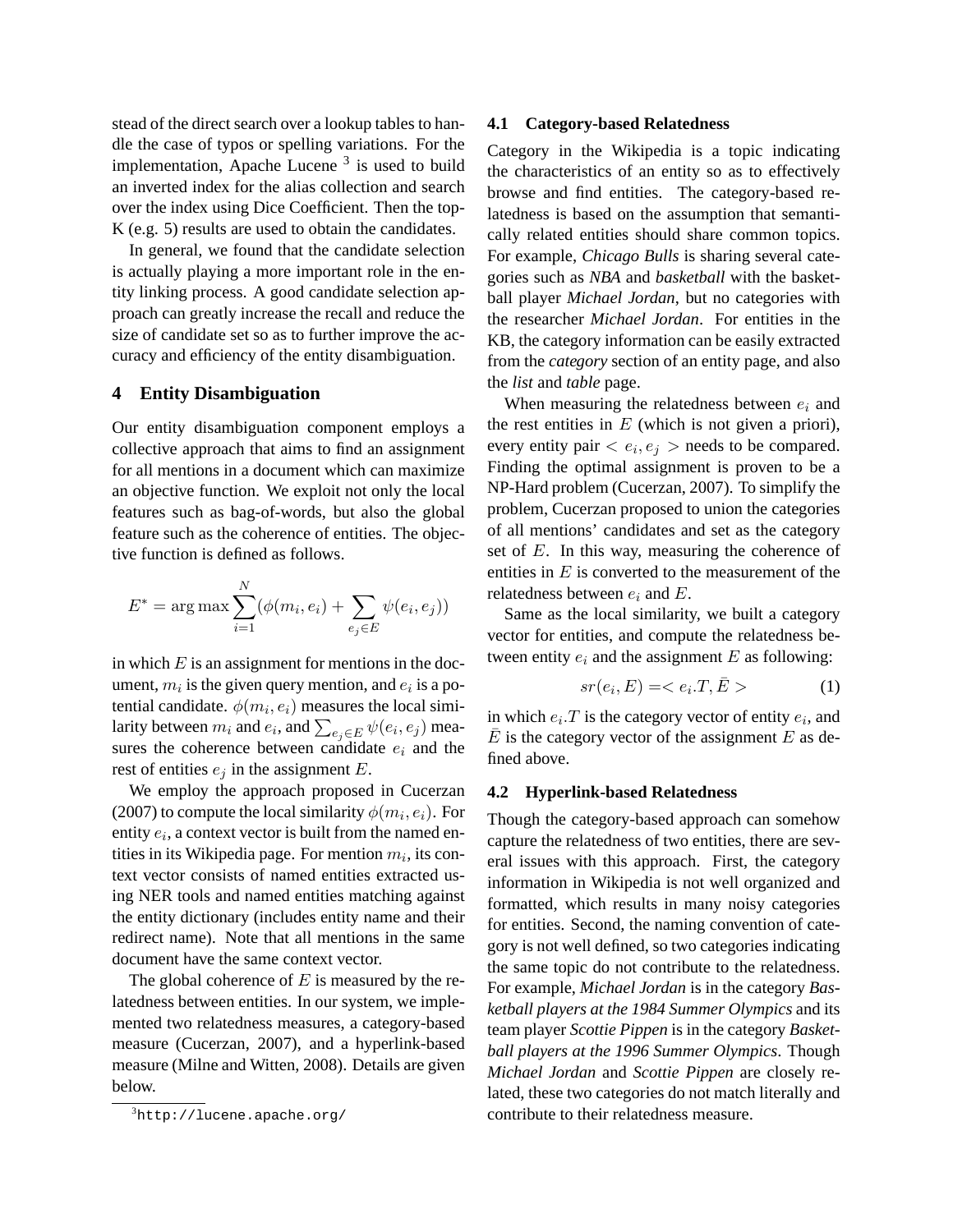stead of the direct search over a lookup tables to handle the case of typos or spelling variations. For the implementation, Apache Lucene<sup>3</sup> is used to build an inverted index for the alias collection and search over the index using Dice Coefficient. Then the top-K (e.g. 5) results are used to obtain the candidates.

In general, we found that the candidate selection is actually playing a more important role in the entity linking process. A good candidate selection approach can greatly increase the recall and reduce the size of candidate set so as to further improve the accuracy and efficiency of the entity disambiguation.

#### **4 Entity Disambiguation**

Our entity disambiguation component employs a collective approach that aims to find an assignment for all mentions in a document which can maximize an objective function. We exploit not only the local features such as bag-of-words, but also the global feature such as the coherence of entities. The objective function is defined as follows.

$$
E^* = \arg \max \sum_{i=1}^{N} (\phi(m_i, e_i) + \sum_{e_j \in E} \psi(e_i, e_j))
$$

in which  $E$  is an assignment for mentions in the document,  $m_i$  is the given query mention, and  $e_i$  is a potential candidate.  $\phi(m_i, e_i)$  measures the local similarity between  $m_i$  and  $e_i$ , and  $\sum_{e_j \in E} \psi(e_i, e_j)$  measures the coherence between candidate  $e_i$  and the rest of entities  $e_j$  in the assignment E.

We employ the approach proposed in Cucerzan (2007) to compute the local similarity  $\phi(m_i, e_i)$ . For entity  $e_i$ , a context vector is built from the named entities in its Wikipedia page. For mention  $m_i$ , its context vector consists of named entities extracted using NER tools and named entities matching against the entity dictionary (includes entity name and their redirect name). Note that all mentions in the same document have the same context vector.

The global coherence of  $E$  is measured by the relatedness between entities. In our system, we implemented two relatedness measures, a category-based measure (Cucerzan, 2007), and a hyperlink-based measure (Milne and Witten, 2008). Details are given below.

#### **4.1 Category-based Relatedness**

Category in the Wikipedia is a topic indicating the characteristics of an entity so as to effectively browse and find entities. The category-based relatedness is based on the assumption that semantically related entities should share common topics. For example, *Chicago Bulls* is sharing several categories such as *NBA* and *basketball* with the basketball player *Michael Jordan*, but no categories with the researcher *Michael Jordan*. For entities in the KB, the category information can be easily extracted from the *category* section of an entity page, and also the *list* and *table* page.

When measuring the relatedness between  $e_i$  and the rest entities in  $E$  (which is not given a priori), every entity pair  $\langle e_i, e_j \rangle$  needs to be compared. Finding the optimal assignment is proven to be a NP-Hard problem (Cucerzan, 2007). To simplify the problem, Cucerzan proposed to union the categories of all mentions' candidates and set as the category set of  $E$ . In this way, measuring the coherence of entities in  $E$  is converted to the measurement of the relatedness between  $e_i$  and  $E$ .

Same as the local similarity, we built a category vector for entities, and compute the relatedness between entity  $e_i$  and the assignment E as following:

$$
sr(e_i, E) = \langle e_i \cdot T, \bar{E} \rangle \tag{1}
$$

in which  $e_i$ . T is the category vector of entity  $e_i$ , and  $\overline{E}$  is the category vector of the assignment E as defined above.

#### **4.2 Hyperlink-based Relatedness**

Though the category-based approach can somehow capture the relatedness of two entities, there are several issues with this approach. First, the category information in Wikipedia is not well organized and formatted, which results in many noisy categories for entities. Second, the naming convention of category is not well defined, so two categories indicating the same topic do not contribute to the relatedness. For example, *Michael Jordan* is in the category *Basketball players at the 1984 Summer Olympics* and its team player *Scottie Pippen* is in the category *Basketball players at the 1996 Summer Olympics*. Though *Michael Jordan* and *Scottie Pippen* are closely related, these two categories do not match literally and contribute to their relatedness measure.

 ${}^{3}$ http://lucene.apache.org/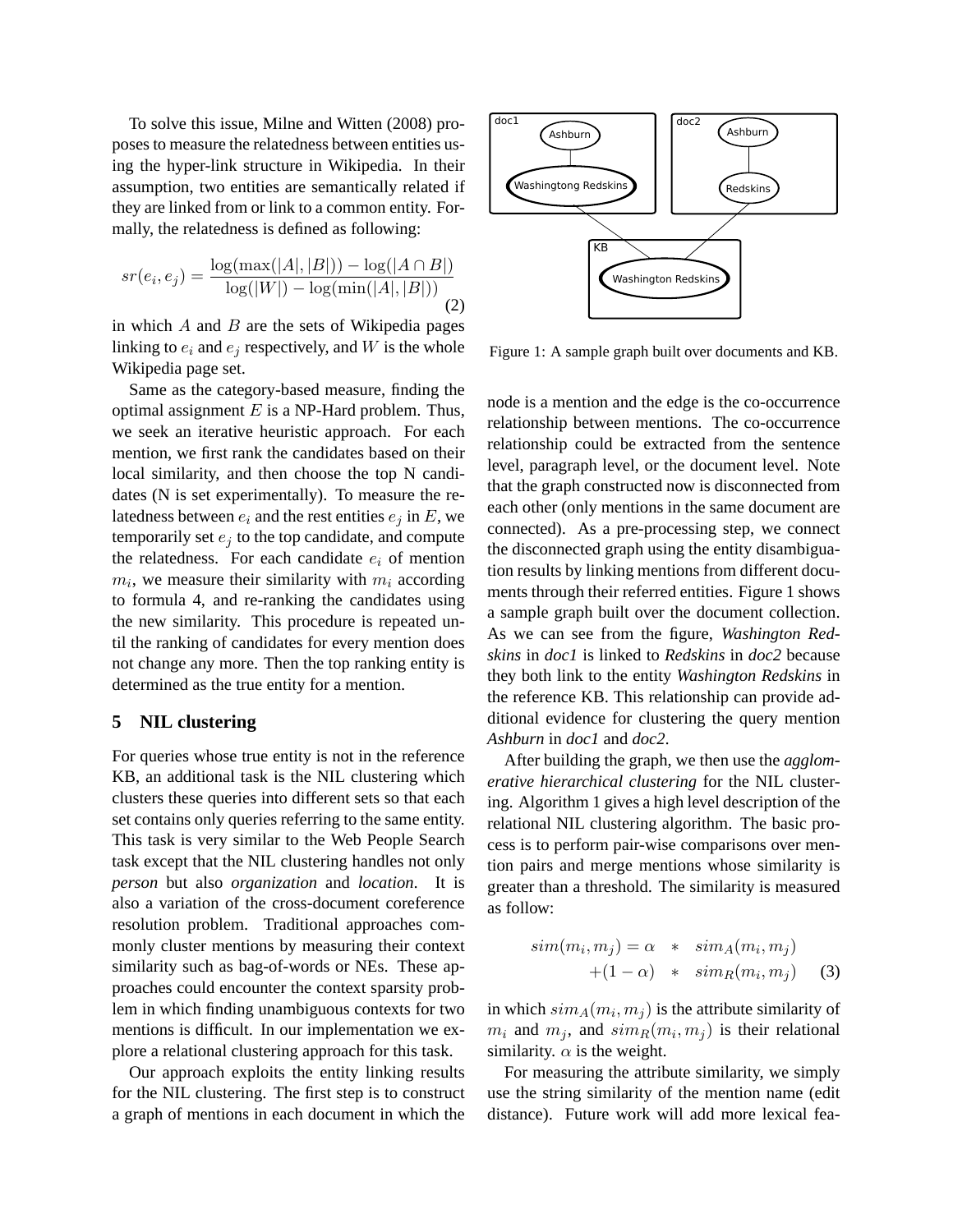To solve this issue, Milne and Witten (2008) proposes to measure the relatedness between entities using the hyper-link structure in Wikipedia. In their assumption, two entities are semantically related if they are linked from or link to a common entity. Formally, the relatedness is defined as following:

$$
sr(e_i, e_j) = \frac{\log(\max(|A|, |B|)) - \log(|A \cap B|)}{\log(|W|) - \log(\min(|A|, |B|))}
$$
(2)

in which  $A$  and  $B$  are the sets of Wikipedia pages linking to  $e_i$  and  $e_j$  respectively, and W is the whole Wikipedia page set.

Same as the category-based measure, finding the optimal assignment  $E$  is a NP-Hard problem. Thus, we seek an iterative heuristic approach. For each mention, we first rank the candidates based on their local similarity, and then choose the top N candidates (N is set experimentally). To measure the relatedness between  $e_i$  and the rest entities  $e_i$  in E, we temporarily set  $e_i$  to the top candidate, and compute the relatedness. For each candidate  $e_i$  of mention  $m_i$ , we measure their similarity with  $m_i$  according to formula 4, and re-ranking the candidates using the new similarity. This procedure is repeated until the ranking of candidates for every mention does not change any more. Then the top ranking entity is determined as the true entity for a mention.

### **5 NIL clustering**

For queries whose true entity is not in the reference KB, an additional task is the NIL clustering which clusters these queries into different sets so that each set contains only queries referring to the same entity. This task is very similar to the Web People Search task except that the NIL clustering handles not only *person* but also *organization* and *location*. It is also a variation of the cross-document coreference resolution problem. Traditional approaches commonly cluster mentions by measuring their context similarity such as bag-of-words or NEs. These approaches could encounter the context sparsity problem in which finding unambiguous contexts for two mentions is difficult. In our implementation we explore a relational clustering approach for this task.

Our approach exploits the entity linking results for the NIL clustering. The first step is to construct a graph of mentions in each document in which the



Figure 1: A sample graph built over documents and KB.

node is a mention and the edge is the co-occurrence relationship between mentions. The co-occurrence relationship could be extracted from the sentence level, paragraph level, or the document level. Note that the graph constructed now is disconnected from each other (only mentions in the same document are connected). As a pre-processing step, we connect the disconnected graph using the entity disambiguation results by linking mentions from different documents through their referred entities. Figure 1 shows a sample graph built over the document collection. As we can see from the figure, *Washington Redskins* in *doc1* is linked to *Redskins* in *doc2* because they both link to the entity *Washington Redskins* in the reference KB. This relationship can provide additional evidence for clustering the query mention *Ashburn* in *doc1* and *doc2*.

After building the graph, we then use the *agglomerative hierarchical clustering* for the NIL clustering. Algorithm 1 gives a high level description of the relational NIL clustering algorithm. The basic process is to perform pair-wise comparisons over mention pairs and merge mentions whose similarity is greater than a threshold. The similarity is measured as follow:

$$
sim(m_i, m_j) = \alpha * sim_A(m_i, m_j)
$$
  
+(1 - \alpha) \* sim\_R(m\_i, m\_j) (3)

in which  $sim_A(m_i, m_j)$  is the attribute similarity of  $m_i$  and  $m_j$ , and  $sim_R(m_i, m_j)$  is their relational similarity.  $\alpha$  is the weight.

For measuring the attribute similarity, we simply use the string similarity of the mention name (edit distance). Future work will add more lexical fea-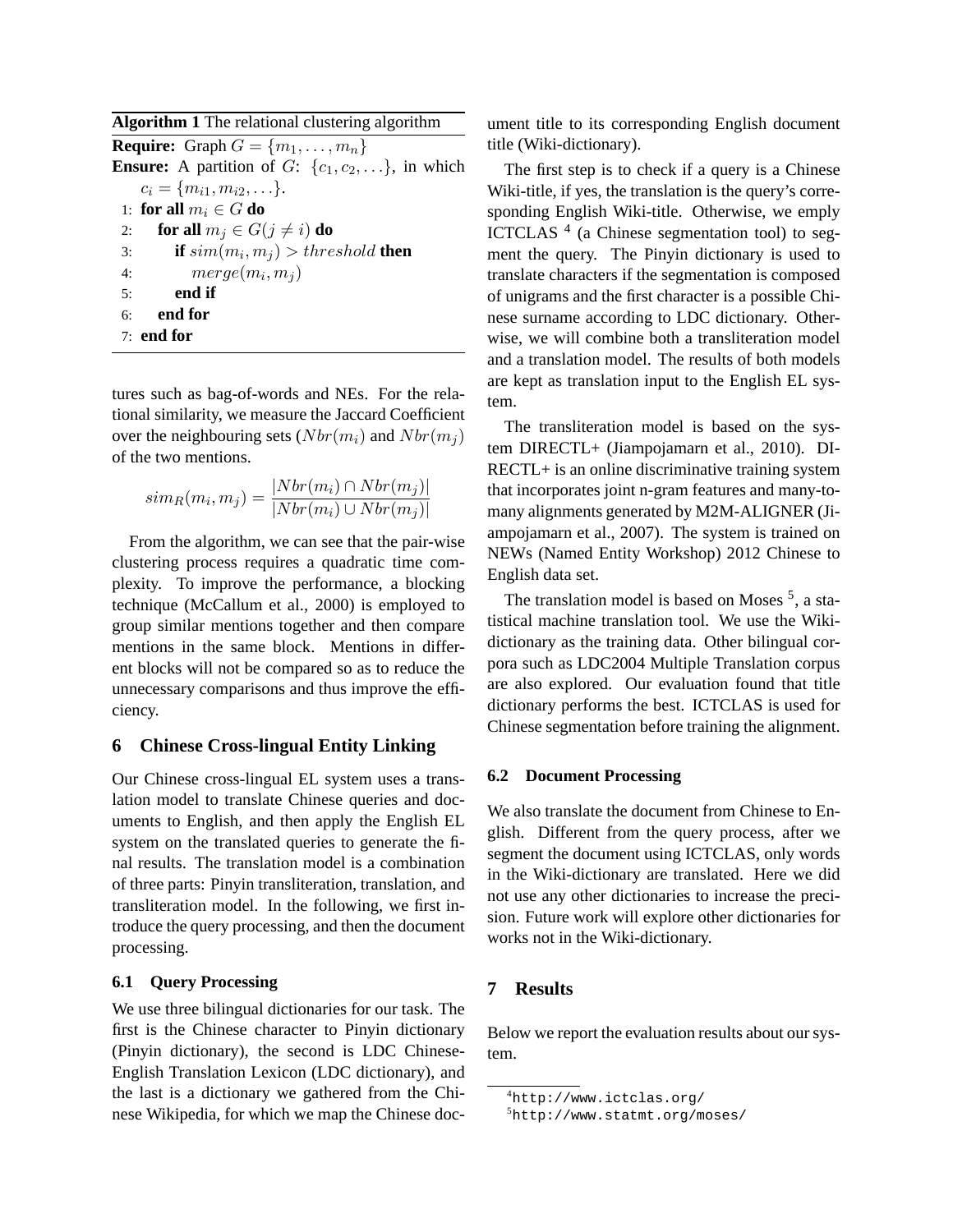tures such as bag-of-words and NEs. For the relational similarity, we measure the Jaccard Coefficient over the neighbouring sets  $(Nbr(m_i)$  and  $Nbr(m_i)$ of the two mentions.

$$
sim_R(m_i, m_j) = \frac{|Nbr(m_i) \cap Nbr(m_j)|}{|Nbr(m_i) \cup Nbr(m_j)|}
$$

From the algorithm, we can see that the pair-wise clustering process requires a quadratic time complexity. To improve the performance, a blocking technique (McCallum et al., 2000) is employed to group similar mentions together and then compare mentions in the same block. Mentions in different blocks will not be compared so as to reduce the unnecessary comparisons and thus improve the efficiency.

### **6 Chinese Cross-lingual Entity Linking**

Our Chinese cross-lingual EL system uses a translation model to translate Chinese queries and documents to English, and then apply the English EL system on the translated queries to generate the final results. The translation model is a combination of three parts: Pinyin transliteration, translation, and transliteration model. In the following, we first introduce the query processing, and then the document processing.

### **6.1 Query Processing**

We use three bilingual dictionaries for our task. The first is the Chinese character to Pinyin dictionary (Pinyin dictionary), the second is LDC Chinese-English Translation Lexicon (LDC dictionary), and the last is a dictionary we gathered from the Chinese Wikipedia, for which we map the Chinese document title to its corresponding English document title (Wiki-dictionary).

The first step is to check if a query is a Chinese Wiki-title, if yes, the translation is the query's corresponding English Wiki-title. Otherwise, we emply ICTCLAS<sup>4</sup> (a Chinese segmentation tool) to segment the query. The Pinyin dictionary is used to translate characters if the segmentation is composed of unigrams and the first character is a possible Chinese surname according to LDC dictionary. Otherwise, we will combine both a transliteration model and a translation model. The results of both models are kept as translation input to the English EL system.

The transliteration model is based on the system DIRECTL+ (Jiampojamarn et al., 2010). DI-RECTL+ is an online discriminative training system that incorporates joint n-gram features and many-tomany alignments generated by M2M-ALIGNER (Jiampojamarn et al., 2007). The system is trained on NEWs (Named Entity Workshop) 2012 Chinese to English data set.

The translation model is based on Moses<sup>5</sup>, a statistical machine translation tool. We use the Wikidictionary as the training data. Other bilingual corpora such as LDC2004 Multiple Translation corpus are also explored. Our evaluation found that title dictionary performs the best. ICTCLAS is used for Chinese segmentation before training the alignment.

### **6.2 Document Processing**

We also translate the document from Chinese to English. Different from the query process, after we segment the document using ICTCLAS, only words in the Wiki-dictionary are translated. Here we did not use any other dictionaries to increase the precision. Future work will explore other dictionaries for works not in the Wiki-dictionary.

# **7 Results**

Below we report the evaluation results about our system.

<sup>4</sup>http://www.ictclas.org/

<sup>5</sup>http://www.statmt.org/moses/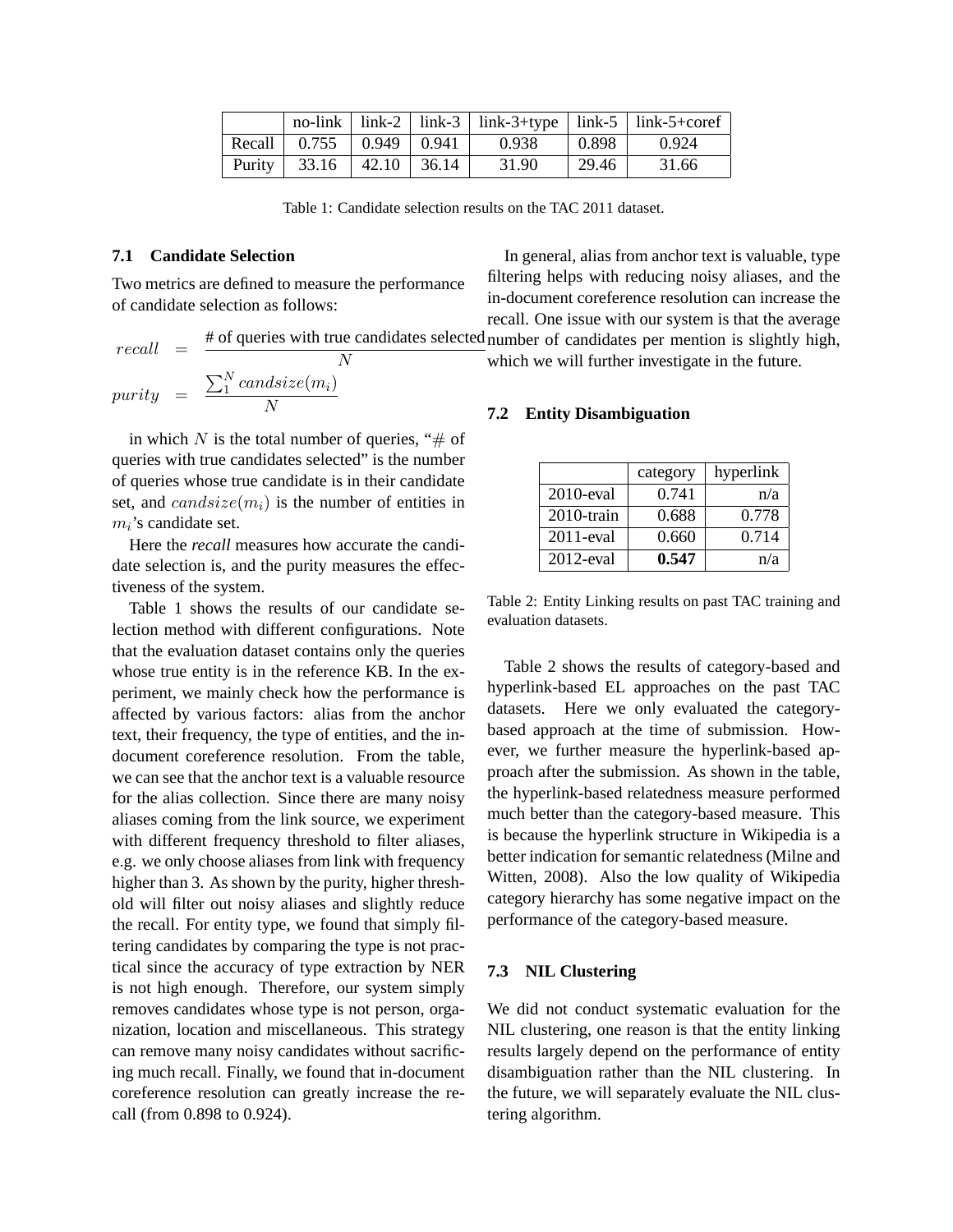|                                      |  |                                                                |             | no-link   link-2   link-3   link-3+type   link-5   link-5+coref |
|--------------------------------------|--|----------------------------------------------------------------|-------------|-----------------------------------------------------------------|
|                                      |  | Recall $\vert$ 0.755 $\vert$ 0.949 $\vert$ 0.941 $\vert$ 0.938 | $\pm 0.898$ | 0.924                                                           |
| Purity   $33.16$   $42.10$   $36.14$ |  | 31.90                                                          | 29.46       | 31.66                                                           |

Table 1: Candidate selection results on the TAC 2011 dataset.

### **7.1 Candidate Selection**

Two metrics are defined to measure the performance of candidate selection as follows:

$$
recall = \frac{\text{\# of queries with true candidates selected number of candidates per mention is slightly high,}}{N} \text{ which we will further investigate in the future.}
$$
\n
$$
purity = \frac{\sum_{i=1}^{N} candisize(m_i)}{N} \qquad \qquad 7.2 \text{ Fritiv. Disambination.}
$$

in which N is the total number of queries, " $\#$  of queries with true candidates selected" is the number of queries whose true candidate is in their candidate set, and  $candsize(m_i)$  is the number of entities in  $m_i$ 's candidate set.

Here the *recall* measures how accurate the candidate selection is, and the purity measures the effectiveness of the system.

Table 1 shows the results of our candidate selection method with different configurations. Note that the evaluation dataset contains only the queries whose true entity is in the reference KB. In the experiment, we mainly check how the performance is affected by various factors: alias from the anchor text, their frequency, the type of entities, and the indocument coreference resolution. From the table, we can see that the anchor text is a valuable resource for the alias collection. Since there are many noisy aliases coming from the link source, we experiment with different frequency threshold to filter aliases, e.g. we only choose aliases from link with frequency higher than 3. As shown by the purity, higher threshold will filter out noisy aliases and slightly reduce the recall. For entity type, we found that simply filtering candidates by comparing the type is not practical since the accuracy of type extraction by NER is not high enough. Therefore, our system simply removes candidates whose type is not person, organization, location and miscellaneous. This strategy can remove many noisy candidates without sacrificing much recall. Finally, we found that in-document coreference resolution can greatly increase the recall (from 0.898 to 0.924).

In general, alias from anchor text is valuable, type filtering helps with reducing noisy aliases, and the in-document coreference resolution can increase the recall. One issue with our system is that the average

which we will further investigate in the future.

#### **7.2 Entity Disambiguation**

|               | category | hyperlink |
|---------------|----------|-----------|
| $2010$ -eval  | 0.741    | n/a       |
| $2010$ -train | 0.688    | 0.778     |
| 2011-eval     | 0.660    | 0.714     |
| $2012$ -eval  | 0.547    | n/a       |

Table 2: Entity Linking results on past TAC training and evaluation datasets.

Table 2 shows the results of category-based and hyperlink-based EL approaches on the past TAC datasets. Here we only evaluated the categorybased approach at the time of submission. However, we further measure the hyperlink-based approach after the submission. As shown in the table, the hyperlink-based relatedness measure performed much better than the category-based measure. This is because the hyperlink structure in Wikipedia is a better indication for semantic relatedness (Milne and Witten, 2008). Also the low quality of Wikipedia category hierarchy has some negative impact on the performance of the category-based measure.

#### **7.3 NIL Clustering**

We did not conduct systematic evaluation for the NIL clustering, one reason is that the entity linking results largely depend on the performance of entity disambiguation rather than the NIL clustering. In the future, we will separately evaluate the NIL clustering algorithm.